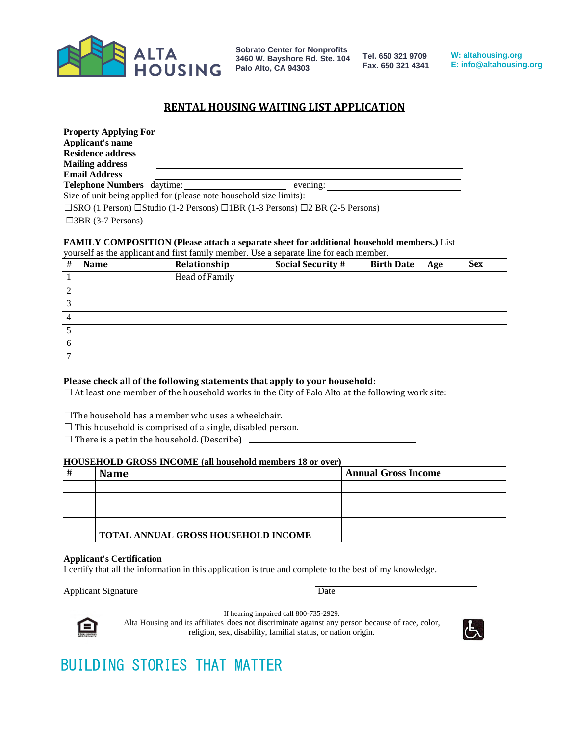

**Tel. 650 321 9709 Fax. 650 321 4341**

**W: altahousing.org E: info@altahousing.org**

### **RENTAL HOUSING WAITING LIST APPLICATION**

| <b>Property Applying For</b>                                        |  |          |  |
|---------------------------------------------------------------------|--|----------|--|
| Applicant's name                                                    |  |          |  |
| <b>Residence address</b>                                            |  |          |  |
| <b>Mailing address</b>                                              |  |          |  |
| <b>Email Address</b>                                                |  |          |  |
| Telephone Numbers daytime:                                          |  | evening: |  |
| Size of unit being applied for (please note household size limits): |  |          |  |

☐SRO (1 Person) ☐Studio (1-2 Persons) ☐1BR (1-3 Persons) ☐2 BR (2-5 Persons)

☐3BR (3-7 Persons)

#### **FAMILY COMPOSITION (Please attach a separate sheet for additional household members.)** List

yourself as the applicant and first family member. Use a separate line for each member.

| # | Name | Relationship   | <b>Social Security #</b> | <b>Birth Date</b> | Age | <b>Sex</b> |
|---|------|----------------|--------------------------|-------------------|-----|------------|
|   |      | Head of Family |                          |                   |     |            |
| ി |      |                |                          |                   |     |            |
| 3 |      |                |                          |                   |     |            |
| 4 |      |                |                          |                   |     |            |
|   |      |                |                          |                   |     |            |
| 6 |      |                |                          |                   |     |            |
| ∍ |      |                |                          |                   |     |            |

#### **Please check all of the following statements that apply to your household:**

 $\Box$  At least one member of the household works in the City of Palo Alto at the following work site:

- $\Box$ The household has a member who uses a wheelchair.
- $\Box$  This household is comprised of a single, disabled person.
- $\Box$  There is a pet in the household. (Describe)  $\Box$

#### **HOUSEHOLD GROSS INCOME (all household members 18 or over)**

| # | <b>Name</b>                                | <b>Annual Gross Income</b> |
|---|--------------------------------------------|----------------------------|
|   |                                            |                            |
|   |                                            |                            |
|   |                                            |                            |
|   |                                            |                            |
|   | <b>TOTAL ANNUAL GROSS HOUSEHOLD INCOME</b> |                            |

#### **Applicant's Certification**

I certify that all the information in this application is true and complete to the best of my knowledge.

Applicant Signature Date



If hearing impaired call 800-735-2929.

Alta Housing and its affiliates does not discriminate against any person because of race, color, religion, sex, disability, familial status, or nation origin.

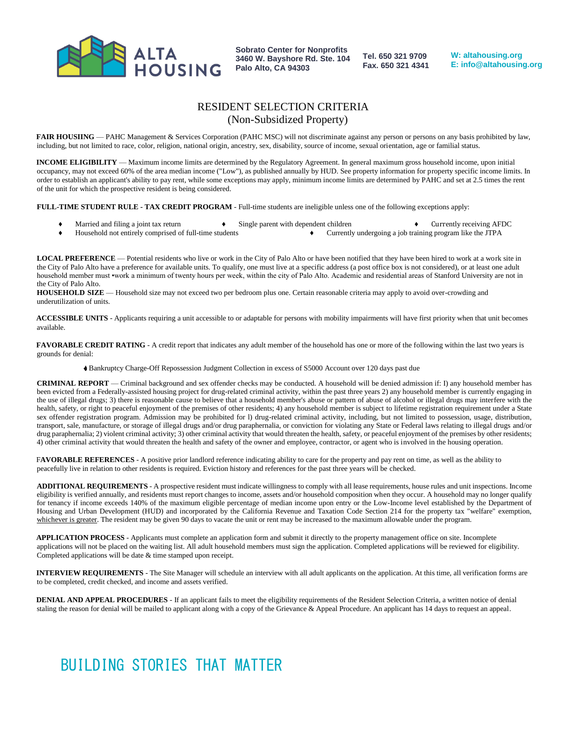

**Tel. 650 321 9709 Fax. 650 321 4341** **W: altahousing.org E: info@altahousing.org**

### RESIDENT SELECTION CRITERIA (Non-Subsidized Property)

FAIR HOUSIING — PAHC Management & Services Corporation (PAHC MSC) will not discriminate against any person or persons on any basis prohibited by law, including, but not limited to race, color, religion, national origin, ancestry, sex, disability, source of income, sexual orientation, age or familial status.

**INCOME ELIGIBILITY** — Maximum income limits are determined by the Regulatory Agreement. In general maximum gross household income, upon initial occupancy, may not exceed 60% of the area median income ("Low"), as published annually by HUD. See property information for property specific income limits. In order to establish an applicant's ability to pay rent, while some exceptions may apply, minimum income limits are determined by PAHC and set at 2.5 times the rent of the unit for which the prospective resident is being considered.

**FULL-TIME STUDENT RULE - TAX CREDIT PROGRAM** - Full-time students are ineligible unless one of the following exceptions apply:

- Married and filing a joint tax return  $\bullet$  Single parent with dependent children  $\bullet$  Currently receiving AFDC
- ♦ Household not entirely comprised of full-time students ♦ Currently undergoing a job training program like the JTPA

**LOCAL PREFERENCE** — Potential residents who live or work in the City of Palo Alto or have been notified that they have been hired to work at a work site in the City of Palo Alto have a preference for available units. To qualify, one must live at a specific address (a post office box is not considered), or at least one adult household member must •work a minimum of twenty hours per week, within the city of Palo Alto. Academic and residential areas of Stanford University are not in the City of Palo Alto.

**HOUSEHOLD SIZE** — Household size may not exceed two per bedroom plus one. Certain reasonable criteria may apply to avoid over-crowding and underutilization of units.

**ACCESSIBLE UNITS** - Applicants requiring a unit accessible to or adaptable for persons with mobility impairments will have first priority when that unit becomes available.

FAVORABLE CREDIT RATING - A credit report that indicates any adult member of the household has one or more of the following within the last two years is grounds for denial:

Bankruptcy Charge-Off Repossession Judgment Collection in excess of S5000 Account over 120 days past due

**CRIMINAL REPORT** — Criminal background and sex offender checks may be conducted. A household will be denied admission if: I) any household member has been evicted from a Federally-assisted housing project for drug-related criminal activity, within the past three years 2) any household member is currently engaging in the use of illegal drugs; 3) there is reasonable cause to believe that a household member's abuse or pattern of abuse of alcohol or illegal drugs may interfere with the health, safety, or right to peaceful enjoyment of the premises of other residents; 4) any household member is subject to lifetime registration requirement under a State sex offender registration program. Admission may be prohibited for l) drug-related criminal activity, including, but not limited to possession, usage, distribution, transport, sale, manufacture, or storage of illegal drugs and/or drug paraphernalia, or conviction for violating any State or Federal laws relating to illegal drugs and/or drug paraphernalia; 2) violent criminal activity; 3) other criminal activity that would threaten the health, safety, or peaceful enjoyment of the premises by other residents; 4) other criminal activity that would threaten the health and safety of the owner and employee, contractor, or agent who is involved in the housing operation.

FAVORABLE REFERENCES - A positive prior landlord reference indicating ability to care for the property and pay rent on time, as well as the ability to peacefully live in relation to other residents is required. Eviction history and references for the past three years will be checked.

**ADDITIONAL REQUIREMENTS** - A prospective resident must indicate willingness to comply with all lease requirements, house rules and unit inspections. Income eligibility is verified annually, and residents must report changes to income, assets and/or household composition when they occur. A household may no longer qualify for tenancy if income exceeds 140% of the maximum eligible percentage of median income upon entry or the Low-Income level established by the Department of Housing and Urban Development (HUD) and incorporated by the California Revenue and Taxation Code Section 214 for the property tax "welfare" exemption, whichever is greater. The resident may be given 90 days to vacate the unit or rent may be increased to the maximum allowable under the program.

**APPLICATION PROCESS** - Applicants must complete an application form and submit it directly to the property management office on site. Incomplete applications will not be placed on the waiting list. All adult household members must sign the application. Completed applications will be reviewed for eligibility. Completed applications will be date & time stamped upon receipt.

**INTERVIEW REQUIREMENTS** - The Site Manager will schedule an interview with all adult applicants on the application. At this time, all verification forms are to be completed, credit checked, and income and assets verified.

**DENIAL AND APPEAL PROCEDURES** - If an applicant fails to meet the eligibility requirements of the Resident Selection Criteria, a written notice of denial staling the reason for denial will be mailed to applicant along with a copy of the Grievance & Appeal Procedure. An applicant has 14 days to request an appeal.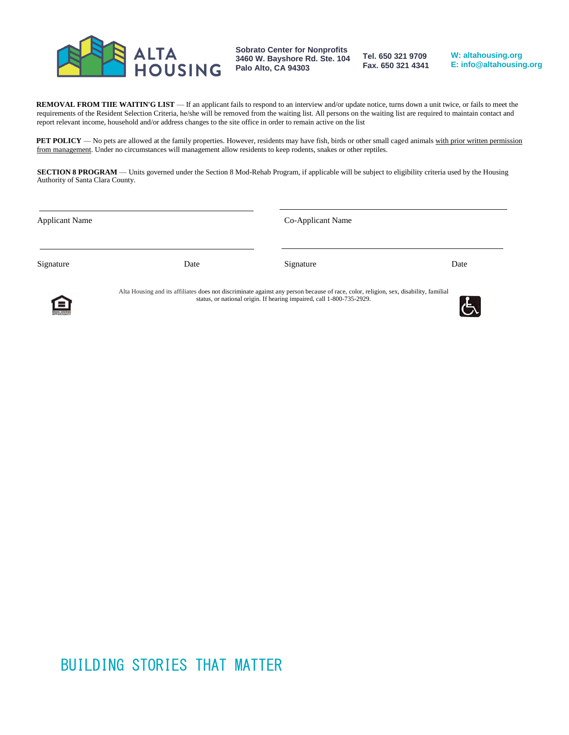

**Tel. 650 321 9709 Fax. 650 321 4341**

**W: altahousing.org E: info@altahousing.org**

**REMOVAL FROM TIIE WAITIN'G LIST** — If an applicant fails to respond to an interview and/or update notice, turns down a unit twice, or fails to meet the requirements of the Resident Selection Criteria, he/she will be removed from the waiting list. All persons on the waiting list are required to maintain contact and report relevant income, household and/or address changes to the site office in order to remain active on the list

**PET POLICY** — No pets are allowed at the family properties. However, residents may have fish, birds or other small caged animals with prior written permission from management. Under no circumstances will management allow residents to keep rodents, snakes or other reptiles.

**SECTION 8 PROGRAM** — Units governed under the Section 8 Mod-Rehab Program, if applicable will be subject to eligibility criteria used by the Housing Authority of Santa Clara County.

| <b>Applicant Name</b> |                                                                                                                                      | Co-Applicant Name                                                     |      |
|-----------------------|--------------------------------------------------------------------------------------------------------------------------------------|-----------------------------------------------------------------------|------|
| Signature             | Date                                                                                                                                 | Signature                                                             | Date |
| 臼                     | Alta Housing and its affiliates does not discriminate against any person because of race, color, religion, sex, disability, familial | status, or national origin. If hearing impaired, call 1-800-735-2929. |      |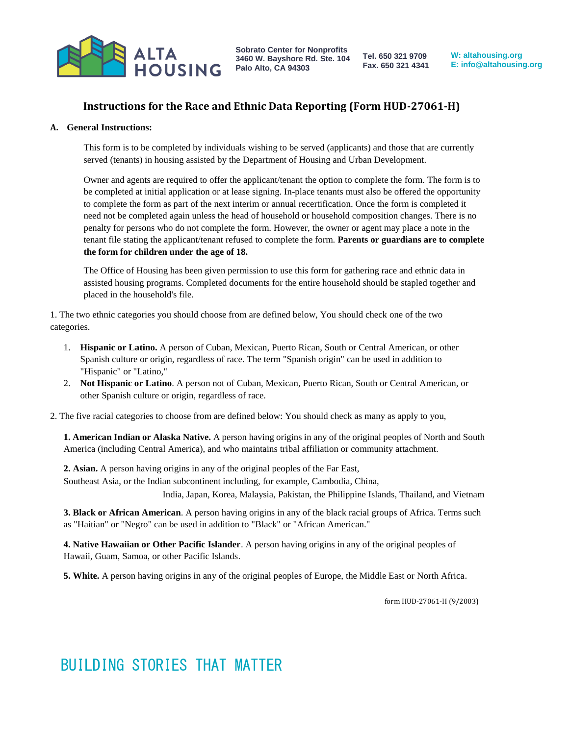

**Tel. 650 321 9709 Fax. 650 321 4341**

**W: altahousing.org E: info@altahousing.org**

### **Instructions for the Race and Ethnic Data Reporting (Form HUD-27061-H)**

#### **A. General Instructions:**

This form is to be completed by individuals wishing to be served (applicants) and those that are currently served (tenants) in housing assisted by the Department of Housing and Urban Development.

Owner and agents are required to offer the applicant/tenant the option to complete the form. The form is to be completed at initial application or at lease signing. In-place tenants must also be offered the opportunity to complete the form as part of the next interim or annual recertification. Once the form is completed it need not be completed again unless the head of household or household composition changes. There is no penalty for persons who do not complete the form. However, the owner or agent may place a note in the tenant file stating the applicant/tenant refused to complete the form. **Parents or guardians are to complete the form for children under the age of 18.**

The Office of Housing has been given permission to use this form for gathering race and ethnic data in assisted housing programs. Completed documents for the entire household should be stapled together and placed in the household's file.

1. The two ethnic categories you should choose from are defined below, You should check one of the two categories.

- 1. **Hispanic or Latino.** A person of Cuban, Mexican, Puerto Rican, South or Central American, or other Spanish culture or origin, regardless of race. The term "Spanish origin" can be used in addition to "Hispanic" or "Latino,"
- 2. **Not Hispanic or Latino**. A person not of Cuban, Mexican, Puerto Rican, South or Central American, or other Spanish culture or origin, regardless of race.

2. The five racial categories to choose from are defined below: You should check as many as apply to you,

**1. American Indian or Alaska Native.** A person having origins in any of the original peoples of North and South America (including Central America), and who maintains tribal affiliation or community attachment.

**2. Asian.** A person having origins in any of the original peoples of the Far East, Southeast Asia, or the Indian subcontinent including, for example, Cambodia, China, India, Japan, Korea, Malaysia, Pakistan, the Philippine Islands, Thailand, and Vietnam

**3. Black or African American**. A person having origins in any of the black racial groups of Africa. Terms such as "Haitian" or "Negro" can be used in addition to "Black" or "African American."

**4. Native Hawaiian or Other Pacific Islander**. A person having origins in any of the original peoples of Hawaii, Guam, Samoa, or other Pacific Islands.

**5. White.** A person having origins in any of the original peoples of Europe, the Middle East or North Africa.

form HUD-27061-H (9/2003)